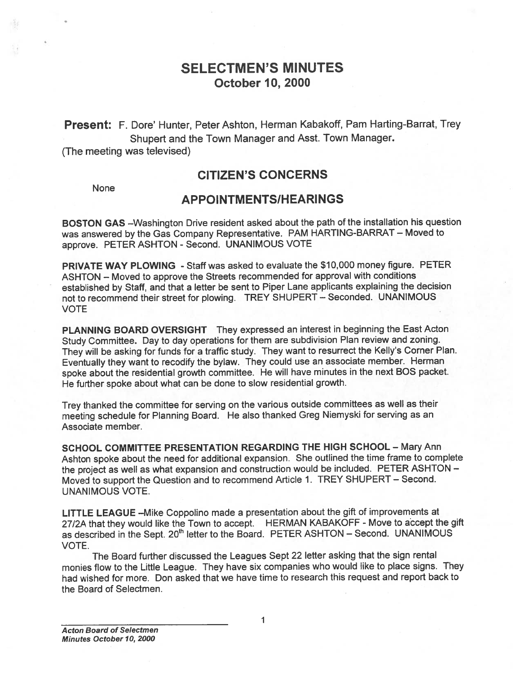# SELECTMEN'S MINUTES October 10, 2000

Present: F. Dore' Hunter, Peter Ashton, Herman Kabakoff, Pam Harting-Barrat, Trey Shupert and the Town Manager and Asst. Town Manager.

(The meeting was televised)

# CITIZEN'S CONCERNS

None

# APPOINTMENTS/HEARINGS

BOSTON GAS —Washington Drive resident asked about the path of the installation his question was answered by the Gas Company Representative. PAM HARTING-BARRAT — Moved to approve. PETER ASHTON - Second. UNANIMOUS VOTE

PRIVATE WAY PLOWING - Staff was asked to evaluate the \$10,000 money figure. PETER ASHTON — Moved to approve the Streets recommended for approva<sup>l</sup> with conditions established by Staff, and that <sup>a</sup> letter be sent to Piper Lane applicants explaining the decision not to recommend their street for <sup>p</sup>lowing. TREY SHUPERT — Seconded. UNANIMOUS VOTE

PLANNING BOARD OVERSIGHT They expresse<sup>d</sup> an interest in beginning the East Acton Study Committee. Day to day operations for them are subdivision Plan review and zoning. They will be asking for funds for <sup>a</sup> traffic study. They want to resurrect the Kelly's Corner Plan. Eventually they want to recodify the bylaw. They could use an associate member. Herman spoke about the residential growth committee. He will have minutes in the next BOS packet. He further spoke about what can be done to slow residential growth.

Trey thanked the committee for serving on the various outside committees as well as their meeting schedule for Planning Board. He also thanked Greg Niemyski for serving as an Associate member.

SCHOOL COMMITTEE PRESENTATION REGARDING THE HIGH SCHOOL — Mary Ann Ashton spoke about the need for additional expansion. She outlined the time frame to complete the project as well as what expansion and construction would be included. PETER ASHTON — Moved to suppor<sup>t</sup> the Question and to recommend Article 1. TREY SHUPERT — Second. UNANIMOUS VOTE.

LITTLE LEAGUE —Mike Coppolino made <sup>a</sup> presentation about the <sup>g</sup>ift of improvements at 27/2A that they would like the Town to accept. HERMAN KABAKOFF - Move to accept the gift as described in the Sept. 20<sup>th</sup> letter to the Board. PETER ASHTON – Second. UNANIMOUS VOTE.

The Board further discussed the Leagues Sept <sup>22</sup> letter asking that the sign rental monies flow to the Little League. They have six companies who would like to <sup>p</sup>lace signs. They had wished for more. Don asked that we have time to research this reques<sup>t</sup> and repor<sup>t</sup> back to the Board of Selectmen.

1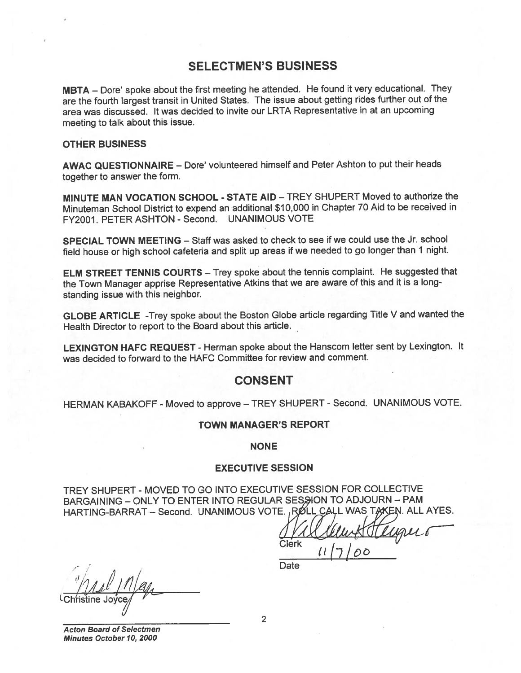## SELECTMEN'S BUSINESS

MBTA — Dore' spoke about the first meeting he attended. He found it very educational. They are the fourth largest transit in United States. The issue about getting rides further out of the area was discussed. It was decided to invite our LRTA Representative in at an upcoming meeting to talk about this issue.

#### OTHER BUSINESS

AWAC QUESTIONNAIRE — Dore' volunteered himself and Peter Ashton to pu<sup>t</sup> their heads together to answer the form.

MINUTE MAN VOCATION SCHOOL - STATE AID — TREY SHUPERT Moved to authorize the Minuteman School District to expen<sup>d</sup> an additional \$10,000 in Chapter <sup>70</sup> Aid to be received in FY2001. PETER ASHTON - Second. UNANIMOUS VOTE

SPECIAL TOWN MEETING — Staff was asked to check to see if we could use the Jr. school field house or high school cafeteria and split up areas if we needed to go longer than 1 night.

ELM STREET TENNIS COURTS — Trey spoke about the tennis complaint. He suggested that the Town Manager apprise Representative Atkins that we are aware of this and it is <sup>a</sup> long standing issue with this neighbor.

GLOBE ARTICLE -Trey spoke about the Boston Globe article regarding Title <sup>V</sup> and wanted the Health Director to repor<sup>t</sup> to the Board about this article.

LEXINGTON HAFC REQUEST - Herman spoke about the Hanscom letter sent by Lexington. It was decided to forward to the HAFC Committee for review and comment.

### **CONSENT**

HERMAN KABAKOFF - Moved to approve - TREY SHUPERT - Second. UNANIMOUS VOTE.

### TOWN MANAGER'S REPORT

NONE

### EXECUTIVE SESSION

TREY SHUPERT - MOVED TO GO iNTO EXECUTIVE SESSION FOR COLLECTIVE BARGAINING - ONLY TO ENTER INTO REGULAR SESSION TO ADJOURN - PAM HARTING-BARRAT - Second. UNANIMOUS VOTE., RØLL CALL WAS TAKEN. ALL AYES.

Will Clean & Henger  $117/00$ 

**Date** 

<u>2</u> Mill May<br>Christine Jovce

Acton Board of Selectmen Minutes October10, 2000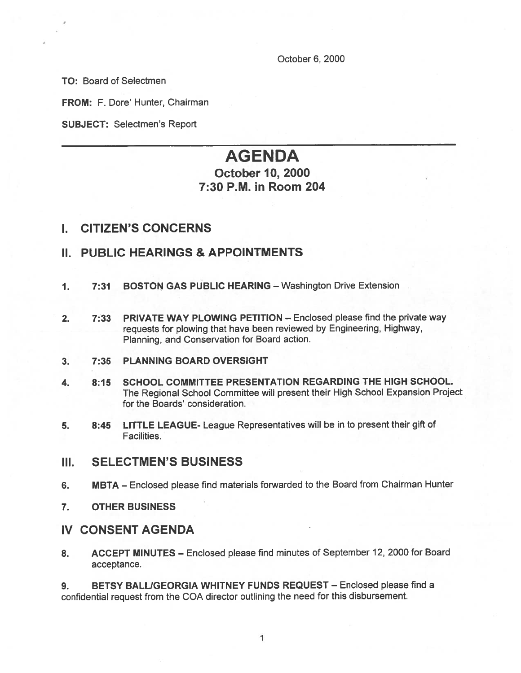October 6, 2000

TO: Board of Selectmen

FROM: F. Dore' Hunter, Chairman

SUBJECT: Selectmen's Report

# AGENDA October 10, 2000 7:30 P.M. in Room 204

## I. CITIZEN'S CONCERNS

# II. PUBLIC HEARINGS & APPOINTMENTS

- 1. 7:31 BOSTON GAS PUBLIC HEARING Washington Drive Extension
- 2. 7:33 PRIVATE WAY PLOWING PETITION Enclosed please find the private way requests for <sup>p</sup>lowing that have been reviewed by Engineering, Highway, Planning, and Conservation for Board action.
- 3. 7:35 PLANNING BOARD OVERSIGHT
- 4. 8:15 SCHOOL COMMITTEE PRESENTATION REGARDING THE HIGH SCHOOL. The Regional School Committee will presen<sup>t</sup> their High School Expansion Project for the Boards' consideration.
- 5. 8:45 LITTLE LEAGUE- League Representatives will be in to presen<sup>t</sup> their <sup>g</sup>ift of Facilities.
- III. SELECTMEN'S BUSINESS
- 6. MBTA Enclosed <sup>p</sup>lease find materials forwarded to the Board from Chairman Hunter
- 7. OTHER BUSINESS

### IV CONSENT AGENDA

8. ACCEPT MINUTES — Enclosed <sup>p</sup>lease find minutes of September 12, 2000 for Board acceptance.

9. BETSY BALL/GEORGIA WHITNEY FUNDS REQUEST - Enclosed please find a confidential reques<sup>t</sup> from the COA director outlining the need for this disbursement.